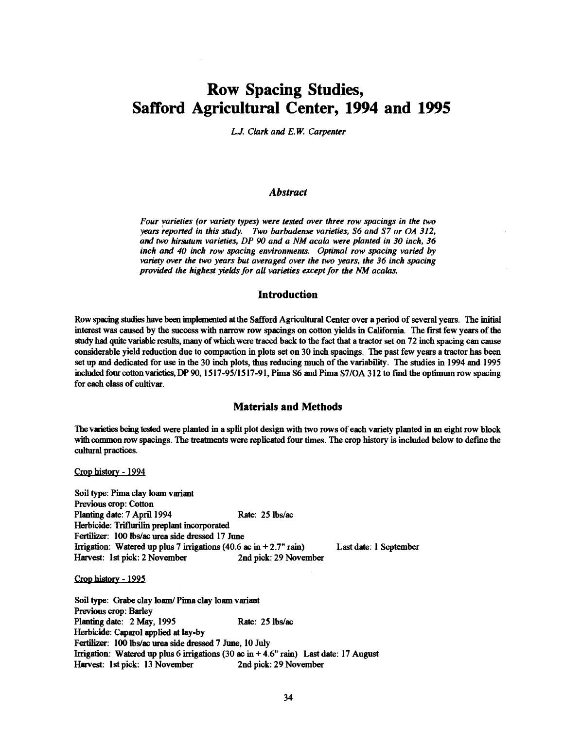# Row Spacing Studies, Safford Agricultural Center, 1994 and 1995

L.J. Clark and E.W. Carpenter

### Abstract

Four varieties (or variety types) were tested over three row spacings in the two years reported in this study. Two barbadense varieties, S6 and S7 or OA 312, and two hirsutum varieties, DP 90 and a NM acala were planted in 30 inch, 36 inch and 40 inch row spacing environments. Optimal row spacing varied by variety over the two years but averaged over the two years, the 36 inch spacing provided the highest yields for all varieties except for the NM acalas.

## Introduction

Row spacing studies have been implemented at the Safford Agricultural Center over a period of several years. The initial interest was caused by the success with narrow row spacings on cotton yields in California. The first few years of the study had quite variable results, many of which were traced back to the fact that a tractor set on 72 inch spacing can cause considerable yield reduction due to compaction in plots set on 30 inch spacings. The past few years a tractor has been set up and dedicated for use in the 30 inch plots, thus reducing much of the variability. The studies in 1994 and 1995 included four cotton varieties, DP 90, 1517-95/1517-91, Pima S6 and Pima S7/OA 312 to find the optimum row spacing for each class of cultivar.

## Materials and Methods

The varieties being tested were planted in a split plot design with two rows of each variety planted in an eight row block with common row spacings. The treatments were replicated four times. The crop history is included below to define the cultural practices.

Crop history - 1994

Soil type: Pima clay loam variant Previous crop: Cotton Planting date: 7 April 1994 Rate: 25 lbs/ac Herbicide: Triflurilin preplant incorporated Fertilizer: 100 lbs/ac urea side dressed 17 June Irrigation: Watered up plus 7 irrigations (40.6 ac in  $+2.7$ " rain) Harvest: 1st pick: 2 November 2nd pick: 29 November Last date: 1 September

Crop history - 1995

Soil type: Grabe clay loam/ Pima clay loam variant Previous crop: Barley Planting date: 2 May, 1995 Rate: 25 lbs/ac Herbicide: Caparol applied at lay-by Fertilizer: 100 lbs/ac urea side dressed 7 June, 10 July Irrigation: Watered up plus 6 irrigations (30 ac in  $+4.6$ " rain) Last date: 17 August Harvest: 1st pick: 13 November 2nd pick: 29 November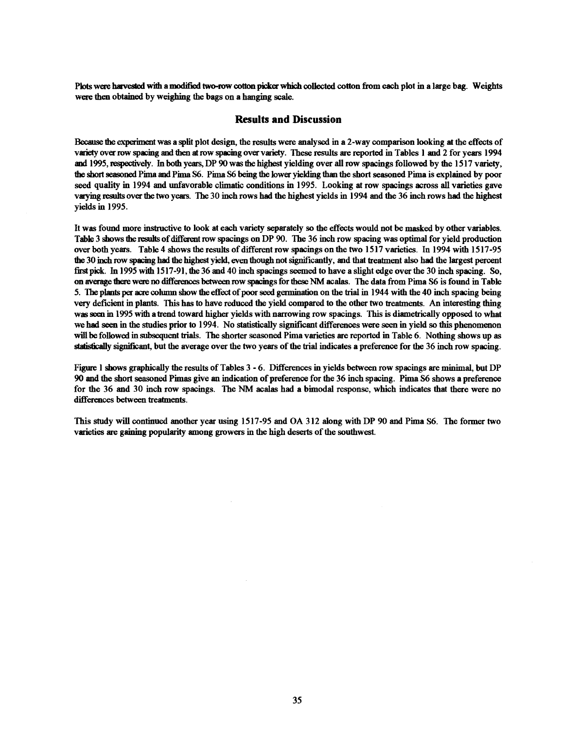Plots were harvested with a modified two-row cotton picker which collected cotton from each plot in a large bag. Weights were then obtained by weighing the bags on a hanging scale.

#### Results and Discussion

Because the experiment was a split plot design, the results were analysed in a 2 -way comparison looking at the effects of variety over row spacing and then at row spacing over variety. These results are reported in Tables i and 2 for years 1994 and 1995, respectively. In both years, DP 90 was the highest yielding over all row spacings followed by the 1517 variety, the short seasoned Pima and Pima S6. Pima S6 being the lower yielding than the short seasoned Pima is explained by poor seed quality in 1994 and unfavorable climatic conditions in 1995. Looking at row spacings across all varieties gave varying results over the two years. The 30 inch rows had the highest yields in 1994 and the 36 inch rows had the highest yields in 1995.

It was found more instructive to look at each variety separately so the effects would not be masked by other variables. Table 3 shows the results of different row spacings on DP 90. The 36 inch row spacing was optimal for yield production over both years. Table 4 shows the results of different row spacings on the two 1517 varieties. In 1994 with 1517 -95 the 30 inch row spacing had the highest yield, even though not significantly, and that treatment also had the largest percent first pick. In 1995 with 1517 -91, the 36 and 40 inch spacings seemed to have a slight edge over the 30 inch spacing. So, on average there were no differences between row spacings for these NM scabs. The data from Pima S6 is found in Table 5. The plants per acre column show the effect of poor seed germination on the trial in 1944 with the 40 inch spacing being very deficient in plants. This has to have reduced the yield compared to the other two treatments. An interesting thing was seen in 1995 with a trend toward higher yields with narrowing row spacings. This is diametrically opposed to what we had seen in the studies prior to 1994. No statistically significant differences were seen in yield so this phenomenon will be followed in subsequent trials. The shorter seasoned Pima varieties are reported in Table 6. Nothing shows up as statically significant, but the average over the two years of the trial indicates a preference for the 36 inch row spacing.

Figure 1 shows graphically the results of Tables 3 - 6. Differences in yields between row spacings are minimal, but DP 90 and the short seasoned Pimas give an indication of preference for the 36 inch spacing. Pima S6 shows a preference for the 36 and 30 inch row spacings. The NM acalas had a bimodal response, which indicates that there were no differences between treatments.

This study will continued another year using 1517 -95 and OA 312 along with DP 90 and Pima S6. The former two varieties are gaining popularity among growers in the high deserts of the southwest.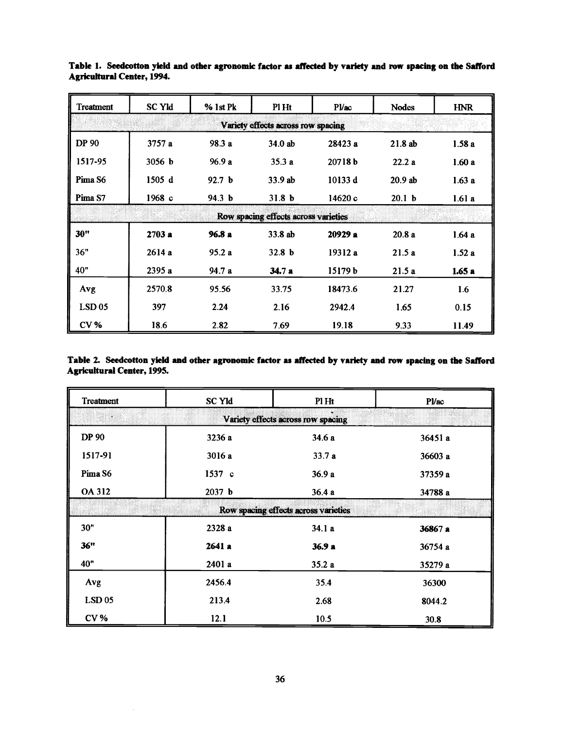| Treatment                          | <b>SC Yld</b> | % 1st Pk          | Pl Ht                                | P <i>U</i> ac | <b>Nodes</b>      | <b>HNR</b> |  |  |
|------------------------------------|---------------|-------------------|--------------------------------------|---------------|-------------------|------------|--|--|
| Variety effects across row spacing |               |                   |                                      |               |                   |            |  |  |
| <b>DP 90</b>                       | 3757 a        | 98.3 a            | 34.0 ab                              | 28423 a       | 21.8ab            | 1.58a      |  |  |
| 1517-95                            | 3056 b        | 96.9a             | 35.3a                                | 20718b        | 22.2a             | 1.60a      |  |  |
| Pima <sub>S6</sub>                 | 1505d         | 92.7 <sub>b</sub> | 33.9 ab                              | 10133 d       | 20.9ab            | 1.63a      |  |  |
| Pima <sub>S7</sub>                 | 1968c         | 94.3 b            | 31.8 <sub>b</sub>                    | 14620c        | 20.1 <sub>b</sub> | 1.61a      |  |  |
|                                    |               |                   | Row spacing effects across varieties |               |                   |            |  |  |
| 30"                                | 2703a         | 96.8a             | 33.8 ab                              | 20929a        | 20.8a             | 1.64a      |  |  |
| 36"                                | 2614 a        | 95.2a             | 32.8 <sub>b</sub>                    | 19312 a       | 21.5a             | 1.52a      |  |  |
| 40"                                | 2395 a        | 94.7 a            | 34.7a                                | 15179 b       | 21.5a             | 1.65a      |  |  |
| Avg                                | 2570.8        | 95.56             | 33.75                                | 18473.6       | 21.27             | 1.6        |  |  |
| $LSD$ 05                           | 397           | 2.24              | 2.16                                 | 2942.4        | 1.65              | 0.15       |  |  |
| <b>CV %</b>                        | 18.6          | 2.82              | 7.69                                 | 19.18         | 9.33              | 11.49      |  |  |

Table 1. Seedcotton yield and other agronomic factor as affected by variety and row spacing on the Safford **Agricultural Center, 1994.** 

Table 2. Seedcotton yield and other agronomic factor as affected by variety and row spacing on the Safford **Agricultural Center, 1995.** 

| Treatment                          | <b>SC Yld</b>                        | Pl Ht | <b>Pl/ac</b> |  |  |  |  |
|------------------------------------|--------------------------------------|-------|--------------|--|--|--|--|
| Variety effects across row spacing |                                      |       |              |  |  |  |  |
| <b>DP 90</b>                       | 3236 a                               | 34.6a | 36451 a      |  |  |  |  |
| 1517-91                            | 3016 a                               | 33.7a | 36603 a      |  |  |  |  |
| Pima <sub>S6</sub>                 | 1537 c                               | 36.9a | 37359 a      |  |  |  |  |
| OA 312                             | 2037 <sub>b</sub>                    | 36.4a | 34788 a      |  |  |  |  |
|                                    | Row spacing effects across varieties |       |              |  |  |  |  |
| 30"                                | 2328 a                               | 34.1a | 36867 a      |  |  |  |  |
| 36"                                | 2641a                                | 36.9a | 36754a       |  |  |  |  |
| 40"                                | 2401a                                | 35.2a | 35279 a      |  |  |  |  |
| Avg                                | 2456.4                               | 35.4  | 36300        |  |  |  |  |
| <b>LSD 05</b>                      | 213.4                                | 2.68  | 8044.2       |  |  |  |  |
| CV <sub>6</sub>                    | 12.1                                 | 10.5  | 30.8         |  |  |  |  |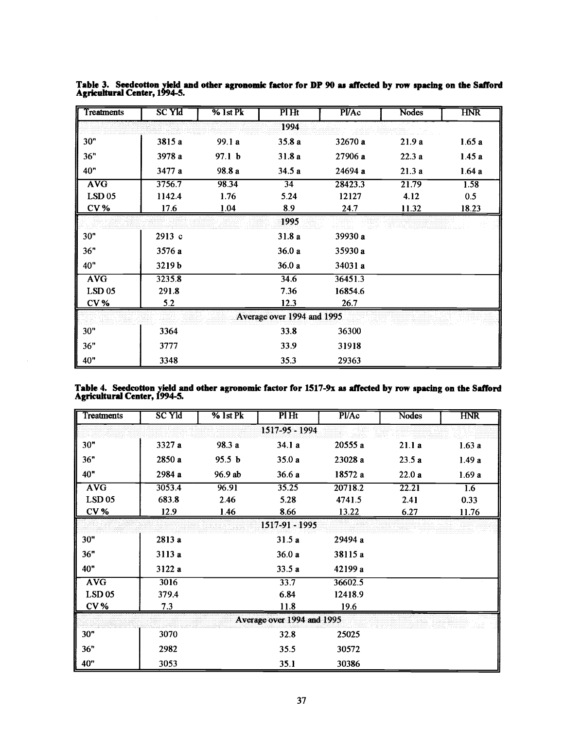| Treatments      | <b>SC Yld</b> | % 1st Pk          | Pl Ht                      | <b>P</b> I/Ac | Nodes        | <b>HNR</b> |
|-----------------|---------------|-------------------|----------------------------|---------------|--------------|------------|
|                 |               |                   | 1994                       |               |              |            |
| 30"             | 3815 a        | 99.1 a            | 35.8a                      | 32670 a       | 21.9a        | 1.65a      |
| 36"             | 3978 a        | 97.1 <sub>b</sub> | 31.8 a                     | 27906 a       | 22.3a        | 1.45a      |
| 40 <sup>"</sup> | 3477 a        | 98.8 a            | 34.5a                      | 24694 a       | 21.3a        | 1.64a      |
| <b>AVG</b>      | 3756.7        | 98.34             | 34                         | 28423.3       | 21.79        | 1.58       |
| $LSD$ 05        | 1142.4        | 1.76              | 5.24                       | 12127         | 4.12         | 0.5        |
| CV <sub>6</sub> | 17.6          | 1.04              | 8.9                        | 24.7          | <u>11.32</u> | 18.23      |
|                 |               |                   | 1995                       |               |              |            |
| 30"             | 2913 с        |                   | 31.8 a                     | 39930 a       |              |            |
| 36"             | 3576 a        |                   | 36.0a                      | 35930 a       |              |            |
| 40"             | 3219b         |                   | 36.0a                      | 34031 a       |              |            |
| <b>AVG</b>      | 3235.8        |                   | 34.6                       | 36451.3       |              |            |
| $LSD$ 05        | 291.8         |                   | 7.36                       | 16854.6       |              |            |
| CV <sub>6</sub> | 5.2           |                   | 12.3                       | 26.7          |              |            |
|                 |               |                   | Average over 1994 and 1995 |               |              |            |
| 30"             | 3364          |                   | 33.8                       | 36300         |              |            |
| 36"             | 3777          |                   | 33.9                       | 31918         |              |            |
| 40"             | 3348          |                   | 35.3                       | 29363         |              |            |

Table 3. Seedcotton yield and other agronomic factor for DP 90 as affected by row spacing on the Safford Agricultural Center, 1994-5.

|                                     |  | Table 4. Seedcotton yield and other agronomic factor for 1517-9x as affected by row spacing on the Safford |  |
|-------------------------------------|--|------------------------------------------------------------------------------------------------------------|--|
| <b>Agricultural Center, 1994-5.</b> |  |                                                                                                            |  |

| Treatments | <b>SC Yld</b>  | $%$ 1st Pk        | PIHt                       | <b>Pl/Ac</b> | Nodes | <b>HNR</b> |  |  |  |
|------------|----------------|-------------------|----------------------------|--------------|-------|------------|--|--|--|
|            | 1517-95 - 1994 |                   |                            |              |       |            |  |  |  |
| 30"        | 3327 a         | 98.3 a            | 34.1a                      | 20555a       | 21.1a | 1.63a      |  |  |  |
| 36"        | 2850 a         | 95.5 <sub>b</sub> | 35.0a                      | 23028 a      | 23.5a | 1.49a      |  |  |  |
| 40"        | 2984 a         | 96.9 ab           | 36.6a                      | 18572 a      | 22.0a | 1.69a      |  |  |  |
| <b>AVG</b> | 3053.4         | 96.91             | 35.25                      | 20718.2      | 22.21 | 1.6        |  |  |  |
| $LSD$ 05   | 683.8          | 2.46              | 5.28                       | 4741.5       | 2.41  | 0.33       |  |  |  |
| <b>CV%</b> | 12.9           | 1.46              | 8.66                       | 13.22        | 6.27  | 11.76      |  |  |  |
|            |                |                   | $1517 - 91 - 1995$         |              |       |            |  |  |  |
| 30"        | 2813 a         |                   | 31.5a                      | 29494 a      |       |            |  |  |  |
| 36"        | 3113 a         |                   | 36.0a                      | 38115 a      |       |            |  |  |  |
| 40"        | 3122 a         |                   | 33.5a                      | 42199 a      |       |            |  |  |  |
| <b>AVG</b> | 3016           |                   | 33.7                       | 36602.5      |       |            |  |  |  |
| $LSD$ 05   | 379.4          |                   | 6.84                       | 12418.9      |       |            |  |  |  |
| <b>CV%</b> | 7.3            |                   | 11.8                       | 19.6         |       |            |  |  |  |
|            |                |                   | Average over 1994 and 1995 |              |       |            |  |  |  |
| 30"        | 3070           |                   | 32.8                       | 25025        |       |            |  |  |  |
| 36"        | 2982           |                   | 35.5                       | 30572        |       |            |  |  |  |
| 40"        | 3053           |                   | 35.1                       | 30386        |       |            |  |  |  |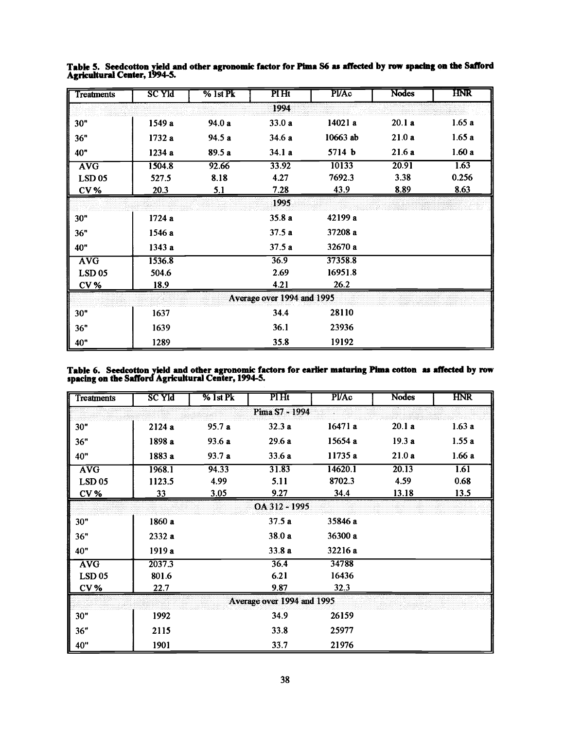| Treatments    | <b>SC Yld</b> | $%$ 1st $Pk$ | PI Ht                      | PVAc     | <b>Nodes</b> | HNR   |
|---------------|---------------|--------------|----------------------------|----------|--------------|-------|
|               |               |              | 1994                       |          |              |       |
| 30"           | 1549 a        | 94.0 a       | 33.0 a                     | 14021 a  | 20.1a        | 1.65a |
| 36"           | 1732 a        | 94.5 a       | 34.6 a                     | 10663 ab | 21.0a        | 1.65a |
| 40"           | 1234 a        | 89.5a        | 34.1a                      | 5714 b   | 21.6a        | 1.60a |
| <b>AVG</b>    | 1504.8        | 92.66        | 33.92                      | 10133    | 20.91        | 1.63  |
| <b>LSD 05</b> | 527.5         | 8.18         | 4.27                       | 7692.3   | 3.38         | 0.256 |
| $CV_0$        | 20.3          | <u>5.1</u>   | 7.28                       | 43.9     | 8.89         | 8.63  |
|               |               |              | 1995                       |          |              |       |
| 30"           | 1724a         |              | 35.8 a                     | 42199 a  |              |       |
| 36"           | 1546 a        |              | 37.5a                      | 37208 a  |              |       |
| 40"           | 1343a         |              | 37.5a                      | 32670 a  |              |       |
| <b>AVG</b>    | 1536.8        |              | 36.9                       | 37358.8  |              |       |
| $LSD$ 05      | 504.6         |              | 2.69                       | 16951.8  |              |       |
| <b>CV%</b>    | <b>18.9</b>   |              | 4.21                       | 26.2     |              |       |
|               |               |              | Average over 1994 and 1995 |          |              |       |
| 30"           | 1637          |              | 34.4                       | 28110    |              |       |
| 36"           | 1639          |              | 36.1                       | 23936    |              |       |
| 40"           | 1289          |              | 35.8                       | 19192    |              |       |

Table 5. Seedcotton yield and other agronomic factor for Pima S6 as affected by row spacing on the Safford Agricultural Center, 1994-5.

Table 6. Seedcotton yield and other agronomic factors for earlier maturing Pima cotton as affected by row spacing on the Safford Agricultural Center, 1994-5.

| <b>Treatments</b> | <u>sc yid</u>              | $\%$ 1st Pk | Pl Ht  | <b>PVAc</b> | <b>Nodes</b> | $H\!N\!R$ |  |  |
|-------------------|----------------------------|-------------|--------|-------------|--------------|-----------|--|--|
| Pima S7 - 1994    |                            |             |        |             |              |           |  |  |
| 30"               | 2124 a                     | 95.7a       | 32.3a  | 16471a      | 20.1a        | 1.63a     |  |  |
| 36"               | 1898 a                     | 93.6 a      | 29.6a  | 15654 a     | 19.3a        | 1.55a     |  |  |
| 40"               | 1883 a                     | 93.7 a      | 33.6a  | 11735 a     | 21.0a        | 1.66a     |  |  |
| <b>AVG</b>        | 1968.1                     | 94.33       | 31.83  | 14620.1     | 20.13        | 1.61      |  |  |
| <b>LSD 05</b>     | 1123.5                     | 4.99        | 5.11   | 8702.3      | 4.59         | 0.68      |  |  |
| <b>CV%</b>        | <u>33</u>                  | 3.05        | 9.27   | 34.4        | <u>13.18</u> | 13.5      |  |  |
|                   | OA 312 - 1995              |             |        |             |              |           |  |  |
| 30"               | 1860 a                     |             | 37.5a  | 35846 a     |              |           |  |  |
| 36"               | 2332 a                     |             | 38.0 a | 36300 a     |              |           |  |  |
| 40"               | 1919 a                     |             | 33.8 a | 32216 a     |              |           |  |  |
| <b>AVG</b>        | 2037.3                     |             | 36.4   | 34788       |              |           |  |  |
| <b>LSD 05</b>     | 801.6                      |             | 6.21   | 16436       |              |           |  |  |
| CV <sub>%</sub>   | <u>22.7</u>                |             | 9.87   | 32.3        |              |           |  |  |
|                   | Average over 1994 and 1995 |             |        |             |              |           |  |  |
| 30"               | 1992                       |             | 34.9   | 26159       |              |           |  |  |
| 36"               | 2115                       |             | 33.8   | 25977       |              |           |  |  |
| 40"               | 1901                       |             | 33.7   | 21976       |              |           |  |  |